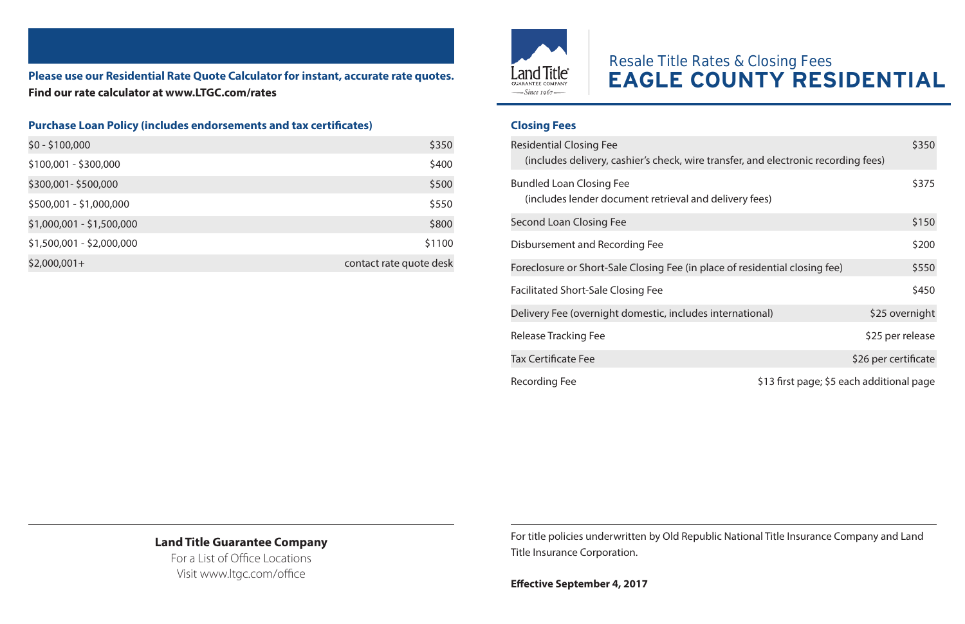**Please use our Residential Rate Quote Calculator for instant, accurate rate quotes. Find our rate calculator at www.LTGC.com/rates**

## **Purchase Loan Policy (includes endorsements and tax certificates)**

| \$0 - \$100,000           | \$350                   |
|---------------------------|-------------------------|
| \$100,001 - \$300,000     | \$400                   |
| \$300,001-\$500,000       | \$500                   |
| \$500,001 - \$1,000,000   | \$550                   |
| \$1,000,001 - \$1,500,000 | \$800                   |
| \$1,500,001 - \$2,000,000 | \$1100                  |
| $$2,000,001+$             | contact rate quote desk |



## Resale Title Rates & Closing Fees **EAGLE COUNTY RESIDENTIAL**

## **Closing Fees**

| <b>Residential Closing Fee</b><br>(includes delivery, cashier's check, wire transfer, and electronic recording fees) |                                           | \$350                |
|----------------------------------------------------------------------------------------------------------------------|-------------------------------------------|----------------------|
| <b>Bundled Loan Closing Fee</b><br>(includes lender document retrieval and delivery fees)                            |                                           | \$375                |
| Second Loan Closing Fee                                                                                              |                                           | \$150                |
| Disbursement and Recording Fee                                                                                       |                                           | \$200                |
| Foreclosure or Short-Sale Closing Fee (in place of residential closing fee)                                          |                                           | \$550                |
| <b>Facilitated Short-Sale Closing Fee</b>                                                                            |                                           | \$450                |
| Delivery Fee (overnight domestic, includes international)                                                            |                                           | \$25 overnight       |
| Release Tracking Fee                                                                                                 |                                           | \$25 per release     |
| <b>Tax Certificate Fee</b>                                                                                           |                                           | \$26 per certificate |
| Recording Fee                                                                                                        | \$13 first page; \$5 each additional page |                      |

## **Land Title Guarantee Company**

For a List of Office Locations Visit www.ltgc.com/office

For title policies underwritten by Old Republic National Title Insurance Company and Land Title Insurance Corporation.

**Effective September 4, 2017**